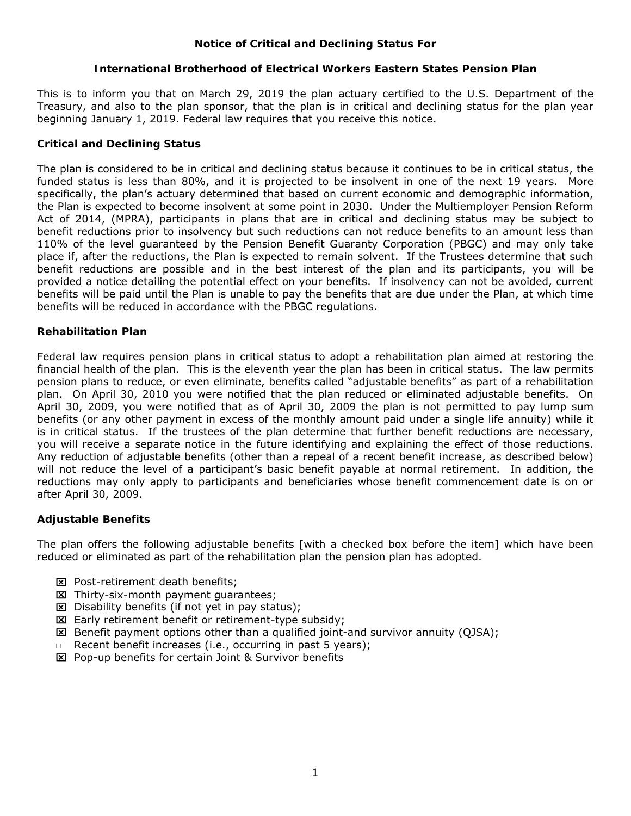# **Notice of Critical and Declining Status For**

## **International Brotherhood of Electrical Workers Eastern States Pension Plan**

This is to inform you that on March 29, 2019 the plan actuary certified to the U.S. Department of the Treasury, and also to the plan sponsor, that the plan is in critical and declining status for the plan year beginning January 1, 2019. Federal law requires that you receive this notice.

## **Critical and Declining Status**

The plan is considered to be in critical and declining status because it continues to be in critical status, the funded status is less than 80%, and it is projected to be insolvent in one of the next 19 years. More specifically, the plan's actuary determined that based on current economic and demographic information, the Plan is expected to become insolvent at some point in 2030. Under the Multiemployer Pension Reform Act of 2014, (MPRA), participants in plans that are in critical and declining status may be subject to benefit reductions prior to insolvency but such reductions can not reduce benefits to an amount less than 110% of the level guaranteed by the Pension Benefit Guaranty Corporation (PBGC) and may only take place if, after the reductions, the Plan is expected to remain solvent. If the Trustees determine that such benefit reductions are possible and in the best interest of the plan and its participants, you will be provided a notice detailing the potential effect on your benefits. If insolvency can not be avoided, current benefits will be paid until the Plan is unable to pay the benefits that are due under the Plan, at which time benefits will be reduced in accordance with the PBGC regulations.

# **Rehabilitation Plan**

Federal law requires pension plans in critical status to adopt a rehabilitation plan aimed at restoring the financial health of the plan. This is the eleventh year the plan has been in critical status. The law permits pension plans to reduce, or even eliminate, benefits called "adjustable benefits" as part of a rehabilitation plan. On April 30, 2010 you were notified that the plan reduced or eliminated adjustable benefits. On April 30, 2009, you were notified that as of April 30, 2009 the plan is not permitted to pay lump sum benefits (or any other payment in excess of the monthly amount paid under a single life annuity) while it is in critical status. If the trustees of the plan determine that further benefit reductions are necessary, you will receive a separate notice in the future identifying and explaining the effect of those reductions. Any reduction of adjustable benefits (other than a repeal of a recent benefit increase, as described below) will not reduce the level of a participant's basic benefit payable at normal retirement. In addition, the reductions may only apply to participants and beneficiaries whose benefit commencement date is on or after April 30, 2009.

### **Adjustable Benefits**

The plan offers the following adjustable benefits [with a checked box before the item] which have been reduced or eliminated as part of the rehabilitation plan the pension plan has adopted.

- **EX** Post-retirement death benefits;
- **E** Thirty-six-month payment quarantees;
- $\Sigma$  Disability benefits (if not yet in pay status);
- Early retirement benefit or retirement-type subsidy;
- Benefit payment options other than a qualified joint-and survivor annuity (QJSA);
- □ Recent benefit increases (i.e., occurring in past 5 years);
- Pop-up benefits for certain Joint & Survivor benefits